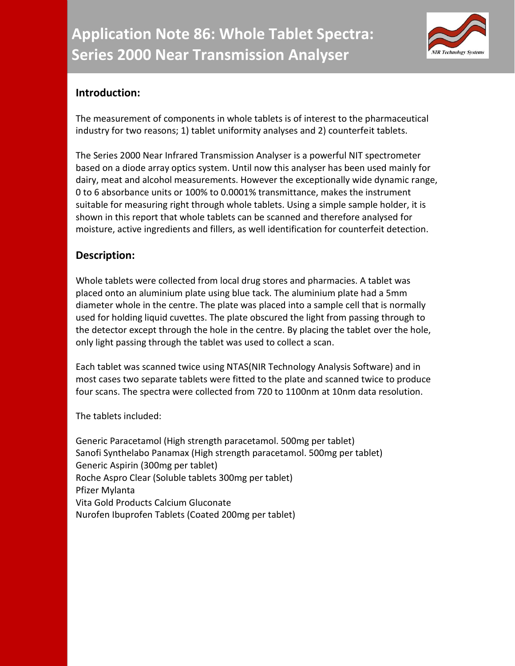

## **Introduction:**

The measurement of components in whole tablets is of interest to the pharmaceutical industry for two reasons; 1) tablet uniformity analyses and 2) counterfeit tablets.

The Series 2000 Near Infrared Transmission Analyser is a powerful NIT spectrometer based on a diode array optics system. Until now this analyser has been used mainly for dairy, meat and alcohol measurements. However the exceptionally wide dynamic range, 0 to 6 absorbance units or 100% to 0.0001% transmittance, makes the instrument suitable for measuring right through whole tablets. Using a simple sample holder, it is shown in this report that whole tablets can be scanned and therefore analysed for moisture, active ingredients and fillers, as well identification for counterfeit detection.

## **Description:**

Whole tablets were collected from local drug stores and pharmacies. A tablet was placed onto an aluminium plate using blue tack. The aluminium plate had a 5mm diameter whole in the centre. The plate was placed into a sample cell that is normally used for holding liquid cuvettes. The plate obscured the light from passing through to the detector except through the hole in the centre. By placing the tablet over the hole, only light passing through the tablet was used to collect a scan.

Each tablet was scanned twice using NTAS(NIR Technology Analysis Software) and in most cases two separate tablets were fitted to the plate and scanned twice to produce four scans. The spectra were collected from 720 to 1100nm at 10nm data resolution.

The tablets included:

Generic Paracetamol (High strength paracetamol. 500mg per tablet) Sanofi Synthelabo Panamax (High strength paracetamol. 500mg per tablet) Generic Aspirin (300mg per tablet) Roche Aspro Clear (Soluble tablets 300mg per tablet) Pfizer Mylanta Vita Gold Products Calcium Gluconate Nurofen Ibuprofen Tablets (Coated 200mg per tablet)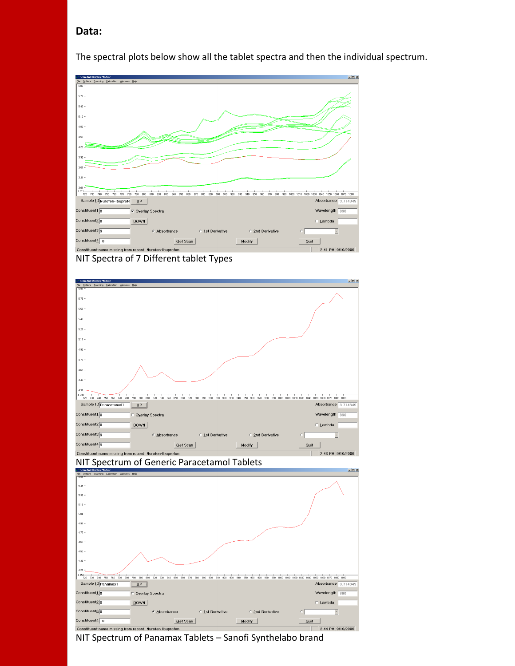#### **Data:**

The spectral plots below show all the tablet spectra and then the individual spectrum.



NIT Spectra of 7 Different tablet Types





NIT Spectrum of Generic Paracetamol Tablets

NIT Spectrum of Panamax Tablets – Sanofi Synthelabo brand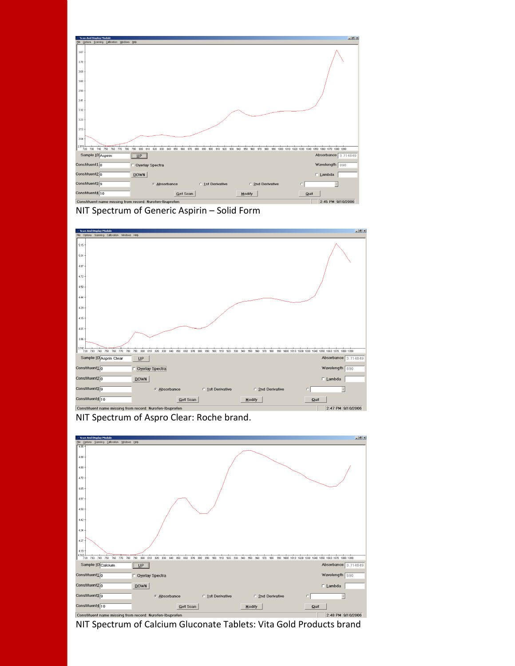









NIT Spectrum of Calcium Gluconate Tablets: Vita Gold Products brand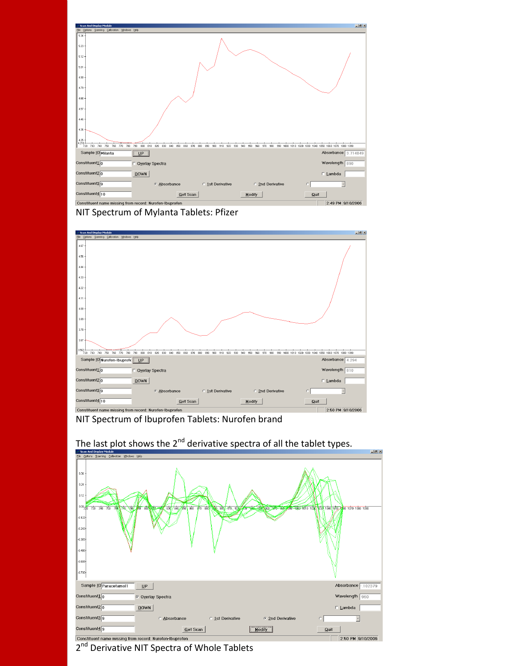

NIT Spectrum of Mylanta Tablets: Pfizer



NIT Spectrum of Ibuprofen Tablets: Nurofen brand



# The last plot shows the  $2^{nd}$  derivative spectra of all the tablet types.

2<sup>nd</sup> Derivative NIT Spectra of Whole Tablets